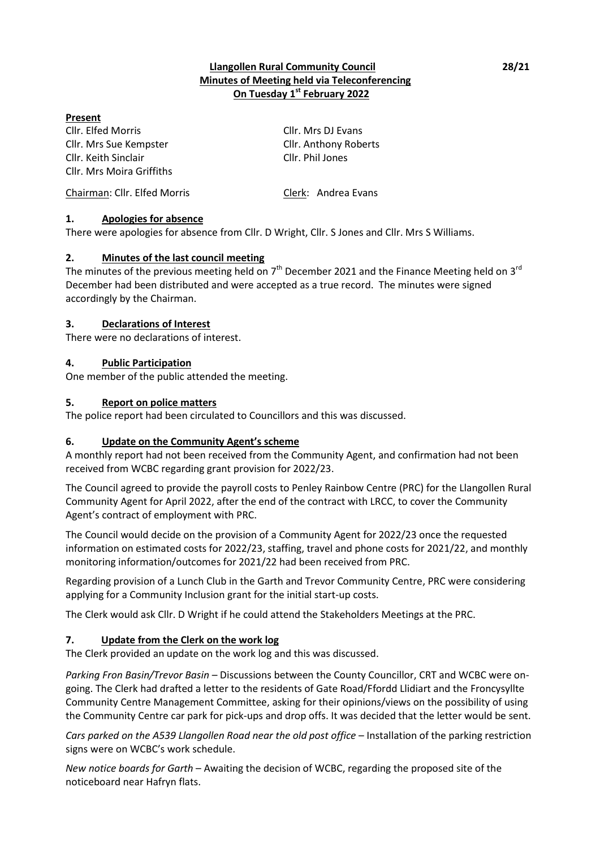### **Llangollen Rural Community Council 28/21 Minutes of Meeting held via Teleconferencing On Tuesday 1 st February 2022**

#### **Present**

Cllr. Elfed Morris Cllr. Mrs DJ Evans Cllr. Mrs Sue Kempster Cllr. Anthony Roberts Cllr. Keith Sinclair Cllr. Phil Jones Cllr. Mrs Moira Griffiths

Chairman: Cllr. Elfed Morris Clerk: Andrea Evans

### **1. Apologies for absence**

There were apologies for absence from Cllr. D Wright, Cllr. S Jones and Cllr. Mrs S Williams.

#### **2. Minutes of the last council meeting**

The minutes of the previous meeting held on  $7<sup>th</sup>$  December 2021 and the Finance Meeting held on 3<sup>rd</sup> December had been distributed and were accepted as a true record. The minutes were signed accordingly by the Chairman.

### **3. Declarations of Interest**

There were no declarations of interest.

### **4. Public Participation**

One member of the public attended the meeting.

#### **5. Report on police matters**

The police report had been circulated to Councillors and this was discussed.

#### **6. Update on the Community Agent's scheme**

A monthly report had not been received from the Community Agent, and confirmation had not been received from WCBC regarding grant provision for 2022/23.

The Council agreed to provide the payroll costs to Penley Rainbow Centre (PRC) for the Llangollen Rural Community Agent for April 2022, after the end of the contract with LRCC, to cover the Community Agent's contract of employment with PRC.

The Council would decide on the provision of a Community Agent for 2022/23 once the requested information on estimated costs for 2022/23, staffing, travel and phone costs for 2021/22, and monthly monitoring information/outcomes for 2021/22 had been received from PRC.

Regarding provision of a Lunch Club in the Garth and Trevor Community Centre, PRC were considering applying for a Community Inclusion grant for the initial start-up costs.

The Clerk would ask Cllr. D Wright if he could attend the Stakeholders Meetings at the PRC.

# **7. Update from the Clerk on the work log**

The Clerk provided an update on the work log and this was discussed.

*Parking Fron Basin/Trevor Basin* – Discussions between the County Councillor, CRT and WCBC were ongoing. The Clerk had drafted a letter to the residents of Gate Road/Ffordd Llidiart and the Froncysyllte Community Centre Management Committee, asking for their opinions/views on the possibility of using the Community Centre car park for pick-ups and drop offs. It was decided that the letter would be sent.

*Cars parked on the A539 Llangollen Road near the old post office* – Installation of the parking restriction signs were on WCBC's work schedule.

*New notice boards for Garth* – Awaiting the decision of WCBC, regarding the proposed site of the noticeboard near Hafryn flats.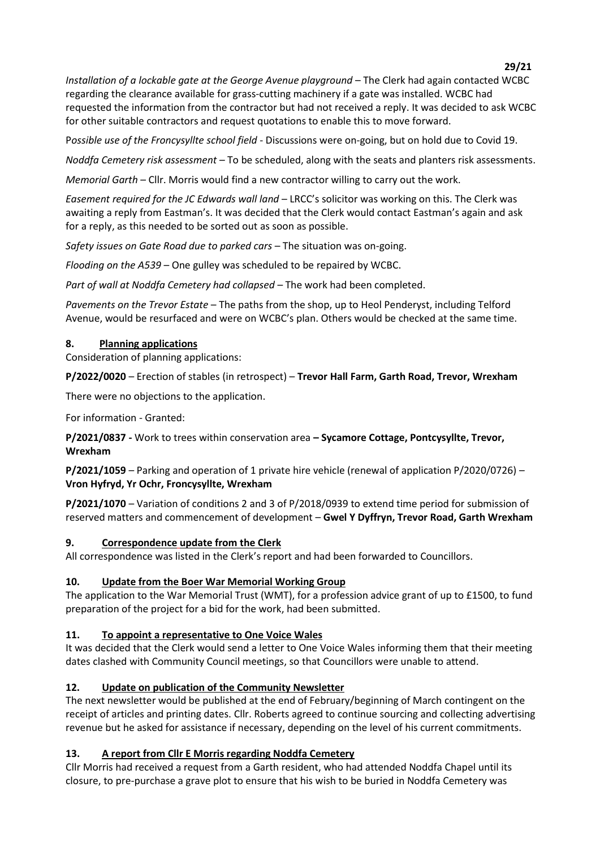*Installation of a lockable gate at the George Avenue playground* – The Clerk had again contacted WCBC regarding the clearance available for grass-cutting machinery if a gate was installed. WCBC had requested the information from the contractor but had not received a reply. It was decided to ask WCBC for other suitable contractors and request quotations to enable this to move forward.

P*ossible use of the Froncysyllte school field* - Discussions were on-going, but on hold due to Covid 19.

*Noddfa Cemetery risk assessment –* To be scheduled, along with the seats and planters risk assessments.

*Memorial Garth* – Cllr. Morris would find a new contractor willing to carry out the work.

*Easement required for the JC Edwards wall land* – LRCC's solicitor was working on this. The Clerk was awaiting a reply from Eastman's. It was decided that the Clerk would contact Eastman's again and ask for a reply, as this needed to be sorted out as soon as possible.

*Safety issues on Gate Road due to parked cars* – The situation was on-going.

*Flooding on the A539* – One gulley was scheduled to be repaired by WCBC.

*Part of wall at Noddfa Cemetery had collapsed* – The work had been completed.

*Pavements on the Trevor Estate* – The paths from the shop, up to Heol Penderyst, including Telford Avenue, would be resurfaced and were on WCBC's plan. Others would be checked at the same time.

### **8. Planning applications**

Consideration of planning applications:

**P/2022/0020** – Erection of stables (in retrospect) – **Trevor Hall Farm, Garth Road, Trevor, Wrexham**

There were no objections to the application.

For information - Granted:

**P/2021/0837 -** Work to trees within conservation area **– Sycamore Cottage, Pontcysyllte, Trevor, Wrexham**

**P/2021/1059** – Parking and operation of 1 private hire vehicle (renewal of application P/2020/0726) – **Vron Hyfryd, Yr Ochr, Froncysyllte, Wrexham** 

**P/2021/1070** – Variation of conditions 2 and 3 of P/2018/0939 to extend time period for submission of reserved matters and commencement of development – **Gwel Y Dyffryn, Trevor Road, Garth Wrexham**

# **9. Correspondence update from the Clerk**

All correspondence was listed in the Clerk's report and had been forwarded to Councillors.

# **10. Update from the Boer War Memorial Working Group**

The application to the War Memorial Trust (WMT), for a profession advice grant of up to £1500, to fund preparation of the project for a bid for the work, had been submitted.

# **11. To appoint a representative to One Voice Wales**

It was decided that the Clerk would send a letter to One Voice Wales informing them that their meeting dates clashed with Community Council meetings, so that Councillors were unable to attend.

# **12. Update on publication of the Community Newsletter**

The next newsletter would be published at the end of February/beginning of March contingent on the receipt of articles and printing dates. Cllr. Roberts agreed to continue sourcing and collecting advertising revenue but he asked for assistance if necessary, depending on the level of his current commitments.

# **13. A report from Cllr E Morris regarding Noddfa Cemetery**

Cllr Morris had received a request from a Garth resident, who had attended Noddfa Chapel until its closure, to pre-purchase a grave plot to ensure that his wish to be buried in Noddfa Cemetery was

# **29/21**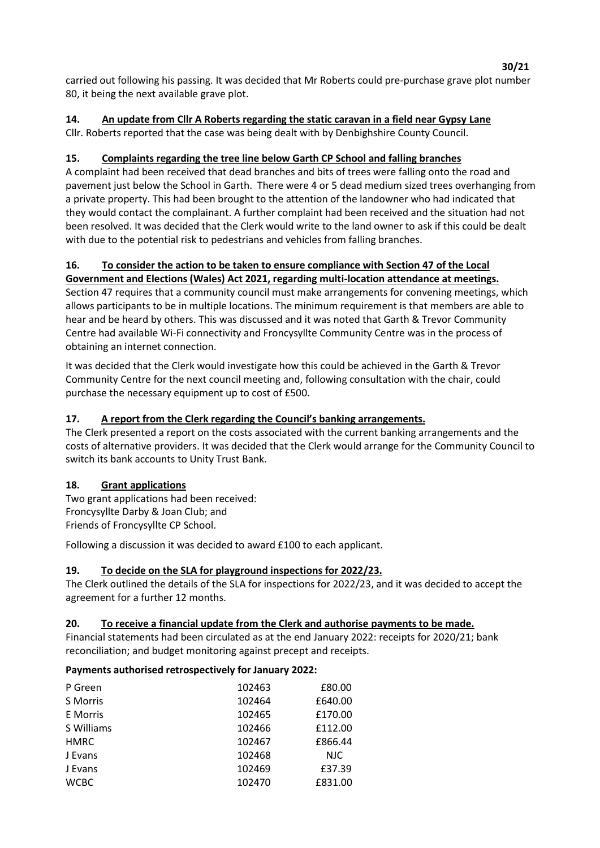### **30/21**

carried out following his passing. It was decided that Mr Roberts could pre-purchase grave plot number 80, it being the next available grave plot.

# **14. An update from Cllr A Roberts regarding the static caravan in a field near Gypsy Lane**

Cllr. Roberts reported that the case was being dealt with by Denbighshire County Council.

### **15. Complaints regarding the tree line below Garth CP School and falling branches**

A complaint had been received that dead branches and bits of trees were falling onto the road and pavement just below the School in Garth. There were 4 or 5 dead medium sized trees overhanging from a private property. This had been brought to the attention of the landowner who had indicated that they would contact the complainant. A further complaint had been received and the situation had not been resolved. It was decided that the Clerk would write to the land owner to ask if this could be dealt with due to the potential risk to pedestrians and vehicles from falling branches.

# **16. To consider the action to be taken to ensure compliance with Section 47 of the Local**

**Government and Elections (Wales) Act 2021, regarding multi-location attendance at meetings.** Section 47 requires that a community council must make arrangements for convening meetings, which allows participants to be in multiple locations. The minimum requirement is that members are able to hear and be heard by others. This was discussed and it was noted that Garth & Trevor Community Centre had available Wi-Fi connectivity and Froncysyllte Community Centre was in the process of obtaining an internet connection.

It was decided that the Clerk would investigate how this could be achieved in the Garth & Trevor Community Centre for the next council meeting and, following consultation with the chair, could purchase the necessary equipment up to cost of £500.

### **17. A report from the Clerk regarding the Council's banking arrangements.**

The Clerk presented a report on the costs associated with the current banking arrangements and the costs of alternative providers. It was decided that the Clerk would arrange for the Community Council to switch its bank accounts to Unity Trust Bank.

#### **18. Grant applications**

Two grant applications had been received: Froncysyllte Darby & Joan Club; and Friends of Froncysyllte CP School.

Following a discussion it was decided to award £100 to each applicant.

#### **19. To decide on the SLA for playground inspections for 2022/23.**

The Clerk outlined the details of the SLA for inspections for 2022/23, and it was decided to accept the agreement for a further 12 months.

# **20. To receive a financial update from the Clerk and authorise payments to be made.**

Financial statements had been circulated as at the end January 2022: receipts for 2020/21; bank reconciliation; and budget monitoring against precept and receipts.

#### **Payments authorised retrospectively for January 2022:**

| P Green         | 102463 | £80.00  |
|-----------------|--------|---------|
| <b>S</b> Morris | 102464 | £640.00 |
| E Morris        | 102465 | £170.00 |
| S Williams      | 102466 | £112.00 |
| <b>HMRC</b>     | 102467 | £866.44 |
| J Evans         | 102468 | NJC.    |
| J Evans         | 102469 | £37.39  |
| <b>WCBC</b>     | 102470 | £831.00 |